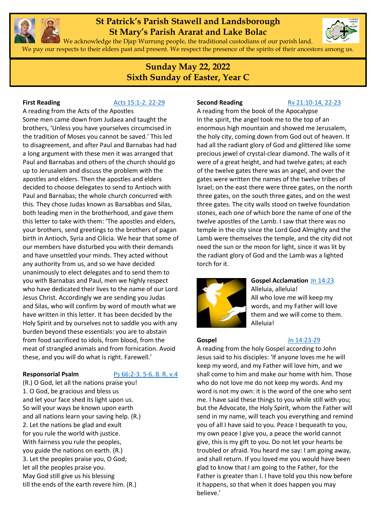

# **St Patrick's Parish Stawell and Landsborough St Mary's Parish Ararat and Lake Bolac**



We acknowledge the Djap Wurrung people, the traditional custodians of our parish land. We pay our respects to their elders past and present. We respect the presence of the spirits of their ancestors among us.

## **Sunday May 22, 2022 Sixth Sunday of Easter, Year C**

#### **First Reading [Acts 15:1-2. 22-29](https://www.liturgyhelp.com/ritual/lectionary/LectionaryList%7Cact#act015)**

A reading from the Acts of the Apostles Some men came down from Judaea and taught the brothers, 'Unless you have yourselves circumcised in the tradition of Moses you cannot be saved.' This led to disagreement, and after Paul and Barnabas had had a long argument with these men it was arranged that Paul and Barnabas and others of the church should go up to Jerusalem and discuss the problem with the apostles and elders. Then the apostles and elders decided to choose delegates to send to Antioch with Paul and Barnabas; the whole church concurred with this. They chose Judas known as Barsabbas and Silas, both leading men in the brotherhood, and gave them this letter to take with them: 'The apostles and elders, your brothers, send greetings to the brothers of pagan birth in Antioch, Syria and Cilicia. We hear that some of our members have disturbed you with their demands and have unsettled your minds. They acted without any authority from us, and so we have decided unanimously to elect delegates and to send them to you with Barnabas and Paul, men we highly respect who have dedicated their lives to the name of our Lord Jesus Christ. Accordingly we are sending you Judas and Silas, who will confirm by word of mouth what we have written in this letter. It has been decided by the Holy Spirit and by ourselves not to saddle you with any burden beyond these essentials: you are to abstain from food sacrificed to idols, from blood, from the meat of strangled animals and from fornication. Avoid these, and you will do what is right. Farewell.'

#### **Responsorial Psalm** [Ps 66:2-3. 5-6. 8. R. v.4](https://www.liturgyhelp.com/ritual/lectionary/LectionaryListPsalm%7Cpsm)

(R.) O God, let all the nations praise you! 1. O God, be gracious and bless us and let your face shed its light upon us. So will your ways be known upon earth and all nations learn your saving help. (R.) 2. Let the nations be glad and exult for you rule the world with justice. With fairness you rule the peoples, you guide the nations on earth. (R.) 3. Let the peoples praise you, O God; let all the peoples praise you. May God still give us his blessing till the ends of the earth revere him. (R.)

#### **Second Reading** [Rv 21:10-14, 22-23](https://www.liturgyhelp.com/ritual/lectionary/LectionaryList%7Crev#rev021)

A reading from the book of the Apocalypse In the spirit, the angel took me to the top of an enormous high mountain and showed me Jerusalem, the holy city, coming down from God out of heaven. It had all the radiant glory of God and glittered like some precious jewel of crystal-clear diamond. The walls of it were of a great height, and had twelve gates; at each of the twelve gates there was an angel, and over the gates were written the names of the twelve tribes of Israel; on the east there were three gates, on the north three gates, on the south three gates, and on the west three gates. The city walls stood on twelve foundation stones, each one of which bore the name of one of the twelve apostles of the Lamb. I saw that there was no temple in the city since the Lord God Almighty and the Lamb were themselves the temple, and the city did not need the sun or the moon for light, since it was lit by the radiant glory of God and the Lamb was a lighted torch for it.



#### **Gospel Acclamation** [Jn 14:23](https://www.liturgyhelp.com/ritual/lectionary/LectionaryListGosAc%7Cjhn#jhn014) Alleluia, alleluia! All who love me will keep my words, and my Father will love them and we will come to them. Alleluia!

### **Gospel** [Jn 14:23-29](https://www.liturgyhelp.com/ritual/lectionary/LectionaryList%7Cjhn#jhn014)

A reading from the holy Gospel according to John Jesus said to his disciples: 'If anyone loves me he will keep my word, and my Father will love him, and we shall come to him and make our home with him. Those who do not love me do not keep my words. And my word is not my own: it is the word of the one who sent me. I have said these things to you while still with you; but the Advocate, the Holy Spirit, whom the Father will send in my name, will teach you everything and remind you of all I have said to you. Peace I bequeath to you, my own peace I give you, a peace the world cannot give, this is my gift to you. Do not let your hearts be troubled or afraid. You heard me say: I am going away, and shall return. If you loved me you would have been glad to know that I am going to the Father, for the Father is greater than I. I have told you this now before it happens, so that when it does happen you may believe.'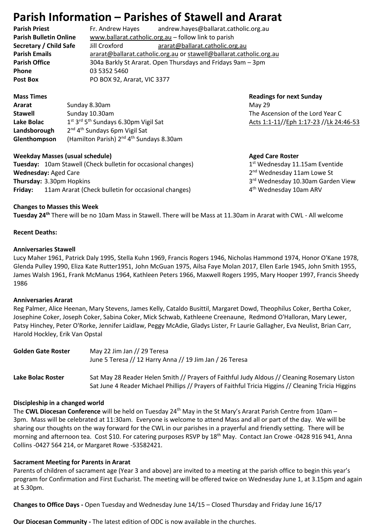# **Parish Information – Parishes of Stawell and Ararat**

**Parish Priest** Fr. Andrew Hayes andrew.hayes@ballarat.catholic.org.au **Parish Bulletin Online** [www.ballarat.catholic.org.au](http://www.ballarat.catholic.org.au/) – follow link to parish **Secretary / Child Safe** Jill Croxford [ararat@ballarat.catholic.org.au](mailto:ararat@ballarat.catholic.org.au) **Parish Emails** [ararat@ballarat.catholic.org.au](mailto:ararat@ballarat.catholic.org.au) or [stawell@ballarat.catholic.org.au](mailto:stawell@ballarat.catholic.org.au) **Parish Office** 304a Barkly St Ararat. Open Thursdays and Fridays 9am – 3pm **Phone** 03 5352 5460 Post Box **PO BOX 92, Ararat, VIC 3377** 

**Ararat Sunday 8.30am** May 29 **Stawell** Sunday 10.30am Sunday 10.30am Sunday 10.30am Sunday 10.30am Sunday Sunday The Ascension of the Lord Year C **Lake Bolac** st 3 rd 5 Landsborough <sup>nd</sup> 4<sup>th</sup> Sundays 6pm Vigil Sat Glenthompson (Hamilton Parish) 2<sup>nd</sup> 4<sup>th</sup> Sundays 8.30am

#### **Weekday Masses (usual schedule)** Aged Care Roster

**Tuesday:** 10am Stawell (Check bulletin for occasional changes) 1 **Wednesday: Aged Care Thursday: 3.30pm Hopkins Friday:** 11am Ararat (Check bulletin for occasional changes) 4

**Mass Times Construction Construction Construction Construction Construction Construction Construction Construction Construction Construction Construction Construction Construction Construction Construction Construction** [Acts 1:1-11/](https://www.liturgyhelp.com/ritual/lectionary/LectionaryList%7Cact#act001)[/Eph 1:17-23](https://www.liturgyhelp.com/ritual/lectionary/LectionaryList%7Ceph#eph001) /[/Lk 24:46-53](https://www.liturgyhelp.com/ritual/lectionary/LectionaryList%7Cluk#luk024)

 $1<sup>st</sup>$  Wednesday 11.15am Eventide 2<sup>nd</sup> Wednesday 11am Lowe St 3rd Wednesday 10.30am Garden View 4<sup>th</sup> Wednesday 10am ARV

#### **Changes to Masses this Week**

**Tuesday 24th** There will be no 10am Mass in Stawell. There will be Mass at 11.30am in Ararat with CWL - All welcome

#### **Recent Deaths:**

#### **Anniversaries Stawell**

Lucy Maher 1961, Patrick Daly 1995, Stella Kuhn 1969, Francis Rogers 1946, Nicholas Hammond 1974, Honor O'Kane 1978, Glenda Pulley 1990, Eliza Kate Rutter1951, John McGuan 1975, Ailsa Faye Molan 2017, Ellen Earle 1945, John Smith 1955, James Walsh 1961, Frank McManus 1964, Kathleen Peters 1966, Maxwell Rogers 1995, Mary Hooper 1997, Francis Sheedy 1986

#### **Anniversaries Ararat**

Reg Palmer, Alice Heenan, Mary Stevens, James Kelly, Cataldo Busittil, Margaret Dowd, Theophilus Coker, Bertha Coker, Josephine Coker, Joseph Coker, Sabina Coker, Mick Schwab, Kathleene Creenaune, Redmond O'Halloran, Mary Lewer, Patsy Hinchey, Peter O'Rorke, Jennifer Laidlaw, Peggy McAdie, Gladys Lister, Fr Laurie Gallagher, Eva Neulist, Brian Carr, Harold Hockley, Erik Van Opstal

| <b>Golden Gate Roster</b> | May 22 Jim Jan // 29 Teresa<br>June 5 Teresa // 12 Harry Anna // 19 Jim Jan / 26 Teresa                                                                                                             |
|---------------------------|-----------------------------------------------------------------------------------------------------------------------------------------------------------------------------------------------------|
| Lake Bolac Roster         | Sat May 28 Reader Helen Smith // Prayers of Faithful Judy Aldous // Cleaning Rosemary Liston<br>Sat June 4 Reader Michael Phillips // Prayers of Faithful Tricia Higgins // Cleaning Tricia Higgins |

#### **Discipleship in a changed world**

The **CWL Diocesan Conference** will be held on Tuesday 24<sup>th</sup> May in the St Mary's Ararat Parish Centre from 10am – 3pm. Mass will be celebrated at 11:30am. Everyone is welcome to attend Mass and all or part of the day. We will be sharing our thoughts on the way forward for the CWL in our parishes in a prayerful and friendly setting. There will be morning and afternoon tea. Cost \$10. For catering purposes RSVP by 18<sup>th</sup> May. Contact Jan Crowe -0428 916 941, Anna Collins -0427 564 214, or Margaret Rowe -53582421.

#### **Sacrament Meeting for Parents in Ararat**

Parents of children of sacrament age (Year 3 and above) are invited to a meeting at the parish office to begin this year's program for Confirmation and First Eucharist. The meeting will be offered twice on Wednesday June 1, at 3.15pm and again at 5.30pm.

**Changes to Office Days -** Open Tuesday and Wednesday June 14/15 – Closed Thursday and Friday June 16/17

**Our Diocesan Community -** The latest edition of ODC is now available in the churches.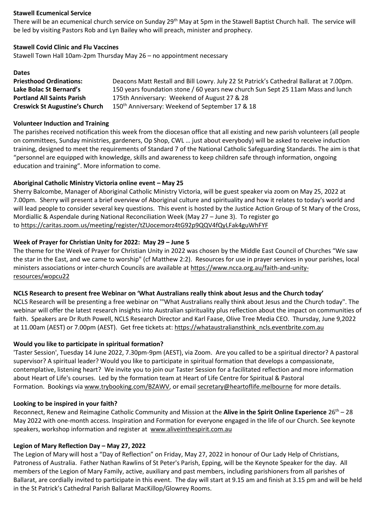#### **Stawell Ecumenical Service**

There will be an ecumenical church service on Sunday 29<sup>th</sup> May at 5pm in the Stawell Baptist Church hall. The service will be led by visiting Pastors Rob and Lyn Bailey who will preach, minister and prophecy.

#### **Stawell Covid Clinic and Flu Vaccines**

Stawell Town Hall 10am-2pm Thursday May 26 – no appointment necessary

#### **Dates**

| <b>Priesthood Ordinations:</b>        | Deacons Matt Restall and Bill Lowry. July 22 St Patrick's Cathedral Ballarat at 7.00pm. |
|---------------------------------------|-----------------------------------------------------------------------------------------|
| Lake Bolac St Bernard's               | 150 years foundation stone / 60 years new church Sun Sept 25 11am Mass and lunch        |
| <b>Portland All Saints Parish</b>     | 175th Anniversary: Weekend of August 27 & 28                                            |
| <b>Creswick St Augustine's Church</b> | 150 <sup>th</sup> Anniversary: Weekend of September 17 & 18                             |

#### **Volunteer Induction and Training**

The parishes received notification this week from the diocesan office that all existing and new parish volunteers (all people on committees, Sunday ministries, gardeners, Op Shop, CWL … just about everybody) will be asked to receive induction training, designed to meet the requirements of Standard 7 of the National Catholic Safeguarding Standards. The aim is that "personnel are equipped with knowledge, skills and awareness to keep children safe through information, ongoing education and training". More information to come.

### **Aboriginal Catholic Ministry Victoria online event – May 25**

Sherry Balcombe, Manager of Aboriginal Catholic Ministry Victoria, will be guest speaker via zoom on May 25, 2022 at 7.00pm. Sherry will present a brief overview of Aboriginal culture and spirituality and how it relates to today's world and will lead people to consider several key questions. This event is hosted by the Justice Action Group of St Mary of the Cross, Mordiallic & Aspendale during National Reconciliation Week (May 27 – June 3). To register go to <https://caritas.zoom.us/meeting/register/tZUocemorz4tG92p9QQV4fQyLFak4guWhFYF>

### **Week of Prayer for Christian Unity for 2022: May 29 – June 5**

The theme for the Week of Prayer for Christian Unity in 2022 was chosen by the Middle East Council of Churches "We saw the star in the East, and we came to worship" (cf Matthew 2:2). Resources for use in prayer services in your parishes, local ministers associations or inter-church Councils are available at [https://www.ncca.org.au/faith-and-unity](https://www.ncca.org.au/faith-and-unity-resources/wopcu22)[resources/wopcu22](https://www.ncca.org.au/faith-and-unity-resources/wopcu22)

### **NCLS Research to present free Webinar on 'What Australians really think about Jesus and the Church today'**

NCLS Research will be presenting a free webinar on '"What Australians really think about Jesus and the Church today". The webinar will offer the latest research insights into Australian spirituality plus reflection about the impact on communities of faith. Speakers are Dr Ruth Powell, NCLS Research Director and Karl Faase, Olive Tree Media CEO. Thursday, June 9,2022 at 11.00am (AEST) or 7.00pm (AEST). Get free tickets at: [https://whataustraliansthink\\_ncls.eventbrite.com.au](https://whataustraliansthink_ncls.eventbrite.com.au/)

#### **Would you like to participate in spiritual formation?**

'Taster Session', Tuesday 14 June 2022, 7.30pm-9pm (AEST), via Zoom. Are you called to be a spiritual director? A pastoral supervisor? A spiritual leader? Would you like to participate in spiritual formation that develops a compassionate, contemplative, listening heart? We invite you to join our Taster Session for a facilitated reflection and more information about Heart of Life's courses. Led by the formation team at Heart of Life Centre for Spiritual & Pastoral Formation. Bookings via [www.trybooking.com/BZAWV,](https://www.trybooking.com/BZAWV) or email [secretary@heartoflife.melbourne](mailto:secretary@heartoflife.melbourne) for more details.

#### **Looking to be inspired in your faith?**

Reconnect, Renew and Reimagine Catholic Community and Mission at the **Alive in the Spirit Online Experience** 26th – 28 May 2022 with one-month access. Inspiration and Formation for everyone engaged in the life of our Church. See keynote speakers, workshop information and register at [www.aliveinthespirit.com.au](http://www.aliveinthespirit.com.au/)

### **Legion of Mary Reflection Day – May 27, 2022**

The Legion of Mary will host a "Day of Reflection" on Friday, May 27, 2022 in honour of Our Lady Help of Christians, Patroness of Australia. Father Nathan Rawlins of St Peter's Parish, Epping, will be the Keynote Speaker for the day. All members of the Legion of Mary Family, active, auxiliary and past members, including parishioners from all parishes of Ballarat, are cordially invited to participate in this event. The day will start at 9.15 am and finish at 3.15 pm and will be held in the St Patrick's Cathedral Parish Ballarat MacKillop/Glowrey Rooms.